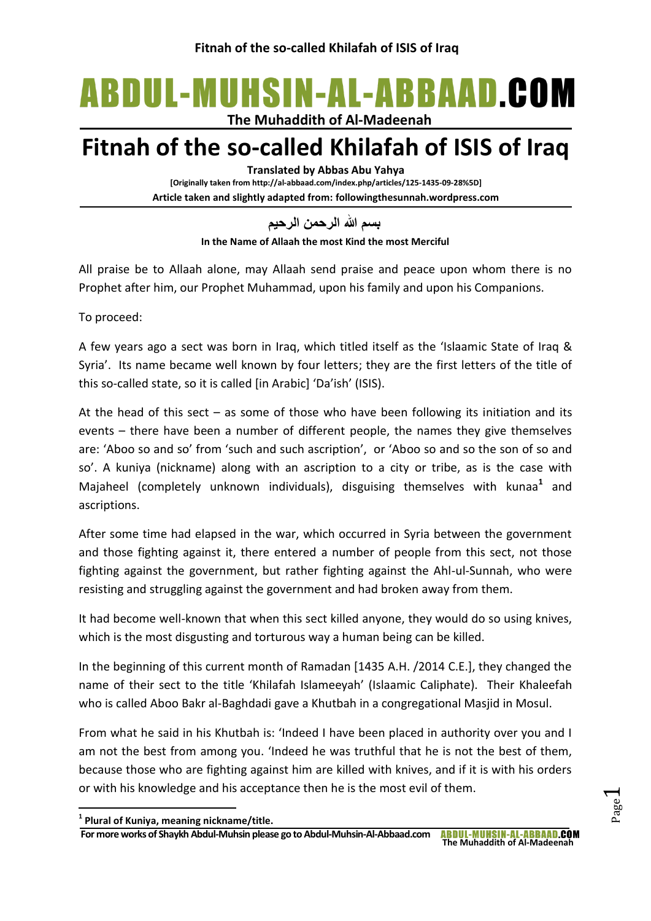# ABDUL-MUHSIN-AL-ABBAAD.COM

**The Muhaddith of Al-Madeenah**

## **Fitnah of the so-called Khilafah of ISIS of Iraq**

**Translated by Abbas Abu Yahya**

**[Originally taken from http://al-abbaad.com/index.php/articles/125-1435-09-28%5D] Article taken and slightly adapted from: followingthesunnah.wordpress.com**

**بسم هللا الرحمن الرحيم**

**In the Name of Allaah the most Kind the most Merciful**

All praise be to Allaah alone, may Allaah send praise and peace upon whom there is no Prophet after him, our Prophet Muhammad, upon his family and upon his Companions.

To proceed:

A few years ago a sect was born in Iraq, which titled itself as the 'Islaamic State of Iraq & Syria'. Its name became well known by four letters; they are the first letters of the title of this so-called state, so it is called [in Arabic] 'Da'ish' (ISIS).

At the head of this sect  $-$  as some of those who have been following its initiation and its events – there have been a number of different people, the names they give themselves are: 'Aboo so and so' from 'such and such ascription', or 'Aboo so and so the son of so and so'. A kuniya (nickname) along with an ascription to a city or tribe, as is the case with Majaheel (completely unknown individuals), disguising themselves with kunaa**<sup>1</sup>** and ascriptions.

After some time had elapsed in the war, which occurred in Syria between the government and those fighting against it, there entered a number of people from this sect, not those fighting against the government, but rather fighting against the Ahl-ul-Sunnah, who were resisting and struggling against the government and had broken away from them.

It had become well-known that when this sect killed anyone, they would do so using knives, which is the most disgusting and torturous way a human being can be killed.

In the beginning of this current month of Ramadan [1435 A.H. /2014 C.E.], they changed the name of their sect to the title 'Khilafah Islameeyah' (Islaamic Caliphate). Their Khaleefah who is called Aboo Bakr al-Baghdadi gave a Khutbah in a congregational Masjid in Mosul.

From what he said in his Khutbah is: 'Indeed I have been placed in authority over you and I am not the best from among you. 'Indeed he was truthful that he is not the best of them, because those who are fighting against him are killed with knives, and if it is with his orders or with his knowledge and his acceptance then he is the most evil of them.

1

**<sup>1</sup> Plural of Kuniya, meaning nickname/title.**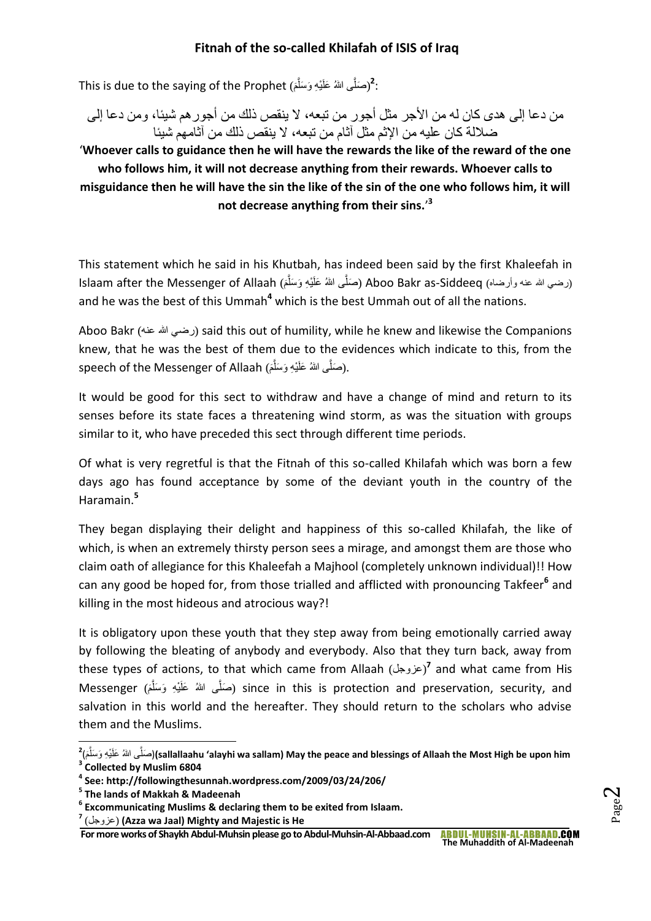.<br>(صَلَّى اللهُ عَلَيْهِ وَسَلَّمَ)<sup>2</sup>:<br>الله عليه الله عنه من الله عنه الله عنه من الله عنه الله عنه الله عنه الله عنه الله عنه الله عنه الله عنه الله َّ

من دعا إلى هدى كان له من الأجر مثل أجور من تبعه، لا ينقص ذلك من أجور هم شيئا، و من دعا إلى ضاللة كان عليه من اإلثم مثل آثام من تبعه، ال ينقص ذلك من آثامهم شيئا

'**Whoever calls to guidance then he will have the rewards the like of the reward of the one who follows him, it will not decrease anything from their rewards. Whoever calls to misguidance then he will have the sin the like of the sin of the one who follows him, it will not decrease anything from their sins.**' **3**

This statement which he said in his Khutbah, has indeed been said by the first Khaleefah in Islaam after the Messenger of Allaah (صَلَّى اللهُ عَلَيْهِ وَسَلَّمَ) Aboo Bakr as-Siddeeq (مـنلَّى اللهُ عَل َّ and he was the best of this Ummah**<sup>4</sup>** which is the best Ummah out of all the nations.

Aboo Bakr (عنه هللا رضي (said this out of humility, while he knew and likewise the Companions knew, that he was the best of them due to the evidences which indicate to this, from the speech of the Messenger of Allaah (صَلَّى اللهُ عَلَيْهِ وَسَلَّمَ). َّ

It would be good for this sect to withdraw and have a change of mind and return to its senses before its state faces a threatening wind storm, as was the situation with groups similar to it, who have preceded this sect through different time periods.

Of what is very regretful is that the Fitnah of this so-called Khilafah which was born a few days ago has found acceptance by some of the deviant youth in the country of the Haramain.**<sup>5</sup>**

They began displaying their delight and happiness of this so-called Khilafah, the like of which, is when an extremely thirsty person sees a mirage, and amongst them are those who claim oath of allegiance for this Khaleefah a Majhool (completely unknown individual)!! How can any good be hoped for, from those trialled and afflicted with pronouncing Takfeer**<sup>6</sup>** and killing in the most hideous and atrocious way?!

It is obligatory upon these youth that they step away from being emotionally carried away by following the bleating of anybody and everybody. Also that they turn back, away from these types of actions, to that which came from Allaah (عزوجل)<sup>7</sup> and what came from His Messenger (صَلَّى اللهُ عَلَيْهِ وَسَلَّمَ) since in this is protection and preservation, security, and َّ salvation in this world and the hereafter. They should return to the scholars who advise them and the Muslims.

**For more works of Shaykh Abdul-Muhsin please go to Abdul-Muhsin-Al-Abbaad.com**

**The Muhaddith of Al-Madeenah**

 **2** (َ م َّى هللاُ َعلَ ْي ِه َو َسل صلَ**)**( **sallallaahu 'alayhi wa sallam) May the peace and blessings of Allaah the Most High be upon him** َّ **3 Collected by Muslim 6804**

**<sup>4</sup> See: http://followingthesunnah.wordpress.com/2009/03/24/206/**

**<sup>5</sup> The lands of Makkah & Madeenah**

**<sup>6</sup> Excommunicating Muslims & declaring them to be exited from Islaam.**

**<sup>7</sup>** (عزوجل**)** (**Azza wa Jaal) Mighty and Majestic is He**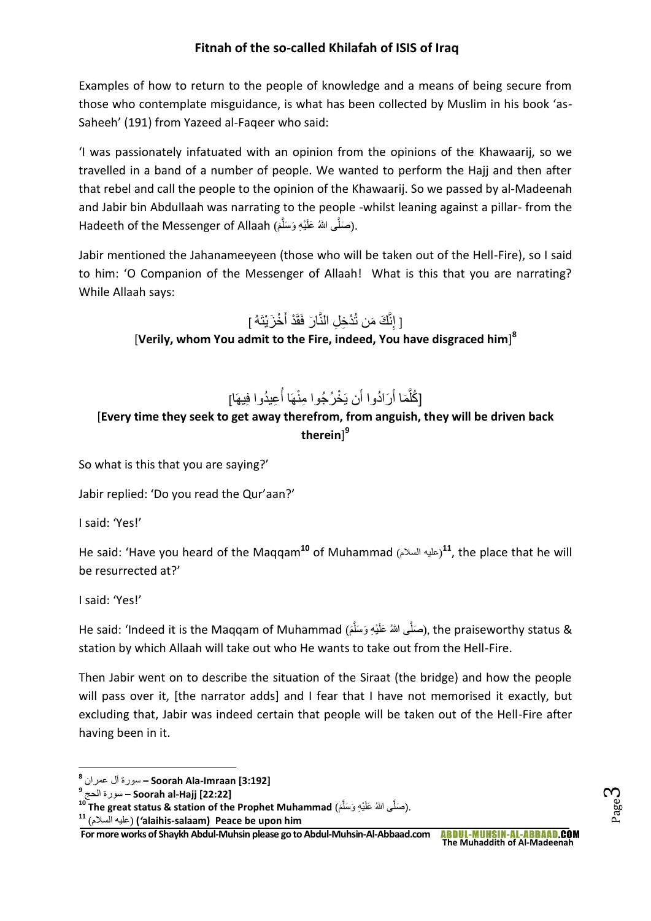Examples of how to return to the people of knowledge and a means of being secure from those who contemplate misguidance, is what has been collected by Muslim in his book 'as-Saheeh' (191) from Yazeed al-Faqeer who said:

'I was passionately infatuated with an opinion from the opinions of the Khawaarij, so we travelled in a band of a number of people. We wanted to perform the Hajj and then after that rebel and call the people to the opinion of the Khawaarij. So we passed by al-Madeenah and Jabir bin Abdullaah was narrating to the people -whilst leaning against a pillar- from the Hadeeth of the Messenger of Allaah (صَلَّى اللهُ عَلَيْهِ وَسَلَّمَ). َّ

Jabir mentioned the Jahanameeyeen (those who will be taken out of the Hell-Fire), so I said to him: 'O Companion of the Messenger of Allaah! What is this that you are narrating? While Allaah says:

[ إِنَّكَ مَن تُدْخِلِ النَّارَ فَقَدْ أَخْزَيْتَهُ ]

[**Verily, whom You admit to the Fire, indeed, You have disgraced him**] **8**

#### [كُلُّمَا أَرَادُوا أَن يَخْرُجُوا مِنْهَا أُعِيدُوا فِيهَا] َّ َ ا<br>ا

## [**Every time they seek to get away therefrom, from anguish, they will be driven back therein**] **9**

So what is this that you are saying?'

Jabir replied: 'Do you read the Qur'aan?'

I said: 'Yes!'

He said: 'Have you heard of the Maqqam<sup>10</sup> of Muhammad (عليه السلام)<sup>11</sup>, the place that he will be resurrected at?'

I said: 'Yes!'

He said: 'Indeed it is the Maqqam of Muhammad (صَلَّى اللهُ عَلَيْهِ وَسَلَّمَ), the praiseworthy status & َّ station by which Allaah will take out who He wants to take out from the Hell-Fire.

Then Jabir went on to describe the situation of the Siraat (the bridge) and how the people will pass over it, [the narrator adds] and I fear that I have not memorised it exactly, but excluding that, Jabir was indeed certain that people will be taken out of the Hell-Fire after having been in it.

**<sup>11</sup>** (السالم عليه*'***)** (**alaihis-salaam)****Peace be upon him**

Page  $\infty$ 

**<sup>.</sup> 8 [3:192] Imraan-Ala Soorah –** سورة آل عمران

**<sup>9</sup>** الحج سورة **– Soorah al-Hajj [22:22]**

<sup>&</sup>lt;sup>10</sup> **The great status & station of the Prophet Muhammad** (صَلَّى اللهُ عَلَيْهِ وَسَلَّمَ). َّ

**For more works of Shaykh Abdul-Muhsin please go to Abdul-Muhsin-Al-Abbaad.com**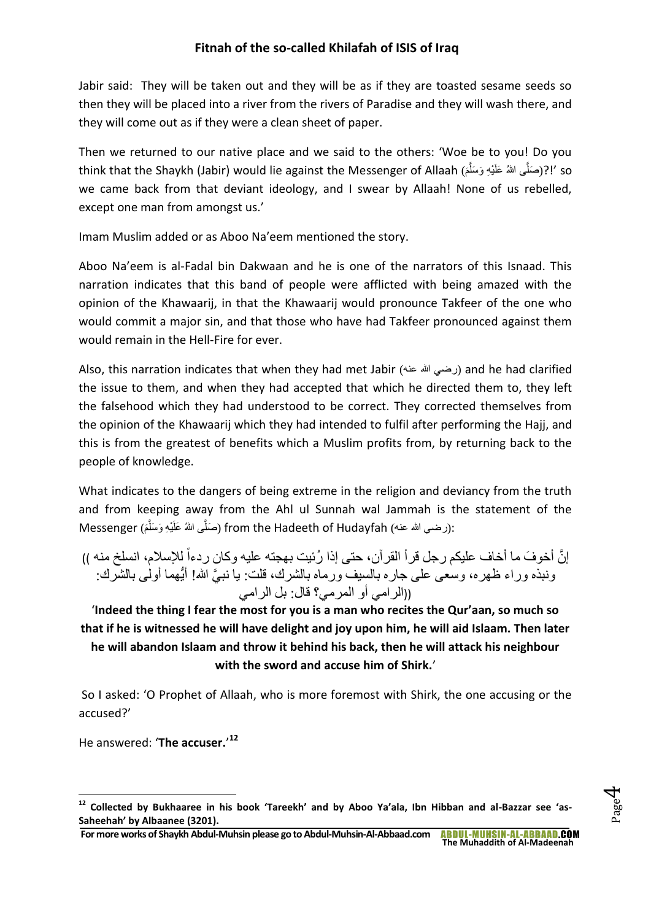Jabir said: They will be taken out and they will be as if they are toasted sesame seeds so then they will be placed into a river from the rivers of Paradise and they will wash there, and they will come out as if they were a clean sheet of paper.

Then we returned to our native place and we said to the others: 'Woe be to you! Do you think that the Shaykh (Jabir) would lie against the Messenger of Allaah (أَبَرْصَلُّي اللهُ عَلَيْهِ وَسَلَّمَ َّ we came back from that deviant ideology, and I swear by Allaah! None of us rebelled, except one man from amongst us.'

Imam Muslim added or as Aboo Na'eem mentioned the story.

Aboo Na'eem is al-Fadal bin Dakwaan and he is one of the narrators of this Isnaad. This narration indicates that this band of people were afflicted with being amazed with the opinion of the Khawaarij, in that the Khawaarij would pronounce Takfeer of the one who would commit a major sin, and that those who have had Takfeer pronounced against them would remain in the Hell-Fire for ever.

Also, this narration indicates that when they had met Jabir (عنه هللا رضي (and he had clarified the issue to them, and when they had accepted that which he directed them to, they left the falsehood which they had understood to be correct. They corrected themselves from the opinion of the Khawaarij which they had intended to fulfil after performing the Hajj, and this is from the greatest of benefits which a Muslim profits from, by returning back to the people of knowledge.

What indicates to the dangers of being extreme in the religion and deviancy from the truth and from keeping away from the Ahl ul Sunnah wal Jammah is the statement of the Messenger (صَلَّى اللهُ عَلَيْهِ وَسَلَّمَ) from the Hadeeth of Hudayfah (حَمَلَّى اللهُ عَلَيْهِ وَسَلَّمَ َّ

إ َّن أخو َف ما أخاف عليكم رجل قرأ القرآن، حتى إذا ُرئيت بهجته عليه وكان )) ردءا لإلسالم، انسلخ منه ونبذه وراء ظهره، وسعى على جاره بالسيف ورماه بالشرك، قلت: يا نب َّي هللا! أيُّهما أولى بالشرك: ((الرامي أو المرمي؟ قال: بل الرامي

'**Indeed the thing I fear the most for you is a man who recites the Qur'aan, so much so that if he is witnessed he will have delight and joy upon him, he will aid Islaam. Then later he will abandon Islaam and throw it behind his back, then he will attack his neighbour with the sword and accuse him of Shirk.**'

So I asked: 'O Prophet of Allaah, who is more foremost with Shirk, the one accusing or the accused?'

He answered: '**The accuser.**' **12**

**.** 

**<sup>12</sup> Collected by Bukhaaree in his book 'Tareekh' and by Aboo Ya'ala, Ibn Hibban and al-Bazzar see 'as-Saheehah' by Albaanee (3201).**

**For more works of Shaykh Abdul-Muhsin please go to Abdul-Muhsin-Al-Abbaad.com The Muhaddith of Al-Madeenah**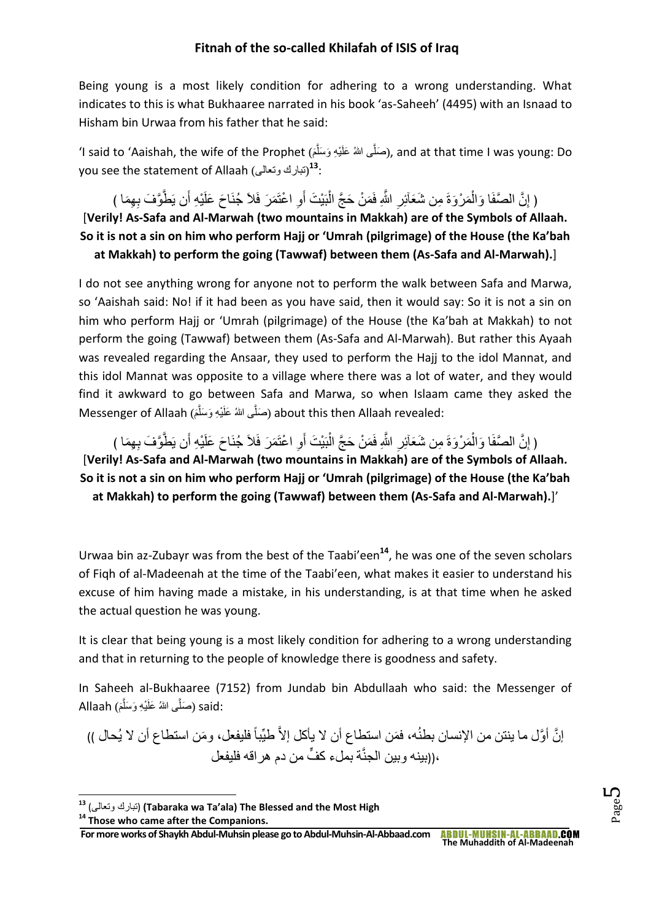Being young is a most likely condition for adhering to a wrong understanding. What indicates to this is what Bukhaaree narrated in his book 'as-Saheeh' (4495) with an Isnaad to Hisham bin Urwaa from his father that he said:

ʻI said to 'Aaishah, the wife of the Prophet (صَلَّى اللهُ عَلَيْهِ وَسَلَّمَ), and at that time I was young: Do َّ you see the statement of Allaah (تبارك ونعالى<del>)</del>

﴿ إِنَّ الْصَّفَا وَالْمَرْوَةَ مِن شَعَاْئِرِ اللَّهِ فَمَنْ حَجَّ الْبَيْتَ أَوِ اعْتَمَرَ فَلاَ جُنَاحَ عَلَيْهِ أَن يَطْوَّفَ بِهِمَا ) ْ ْ [**Verily! As-Safa and Al-Marwah (two mountains in Makkah) are of the Symbols of Allaah. So it is not a sin on him who perform Hajj or 'Umrah (pilgrimage) of the House (the Ka'bah at Makkah) to perform the going (Tawwaf) between them (As-Safa and Al-Marwah).**]

I do not see anything wrong for anyone not to perform the walk between Safa and Marwa, so 'Aaishah said: No! if it had been as you have said, then it would say: So it is not a sin on him who perform Hajj or 'Umrah (pilgrimage) of the House (the Ka'bah at Makkah) to not perform the going (Tawwaf) between them (As-Safa and Al-Marwah). But rather this Ayaah was revealed regarding the Ansaar, they used to perform the Hajj to the idol Mannat, and this idol Mannat was opposite to a village where there was a lot of water, and they would find it awkward to go between Safa and Marwa, so when Islaam came they asked the Messenger of Allaah (صَلَّى اللهُ عَلَيْهِ وَسَلَّمَ) about this then Allaah revealed: َّ

﴿ إِنَّ الْصَّفَا وَالْمَرْوَةَ مِن شَعَاْئِرِ اللَّهِ فَمَنْ حَجَّ الْبَيْتَ أَوِ اعْتَمَرَ فَلاَ جُنَاحَ عَلَيْهِ أَن يَطْوَّفَ بِهِمَا ) ْ ْ [**Verily! As-Safa and Al-Marwah (two mountains in Makkah) are of the Symbols of Allaah. So it is not a sin on him who perform Hajj or 'Umrah (pilgrimage) of the House (the Ka'bah at Makkah) to perform the going (Tawwaf) between them (As-Safa and Al-Marwah).**]'

Urwaa bin az-Zubayr was from the best of the Taabi'een**<sup>14</sup>**, he was one of the seven scholars of Fiqh of al-Madeenah at the time of the Taabi'een, what makes it easier to understand his excuse of him having made a mistake, in his understanding, is at that time when he asked the actual question he was young.

It is clear that being young is a most likely condition for adhering to a wrong understanding and that in returning to the people of knowledge there is goodness and safety.

In Saheeh al-Bukhaaree (7152) from Jundab bin Abdullaah who said: the Messenger of :said (صَلَّى اللهُ عَلَيْهِ وَسَلَّمَ) Allaah َّ

إنَّ أوَّل ما ينتن من الإنسان بطنُه، فمَن استطاع أن لا يأكل إلاَّ طيِّباً فليفعل، ومَن استطاع أن لا يُحال )) ،((بينه وبين الجنَّة بملء كفٍّ من دم هر اقه فليفعل

**.** 

**<sup>13</sup>** (وتعالى تبارك**)** (**Tabaraka wa Ta'ala) The Blessed and the Most High**

**<sup>14</sup> Those who came after the Companions.**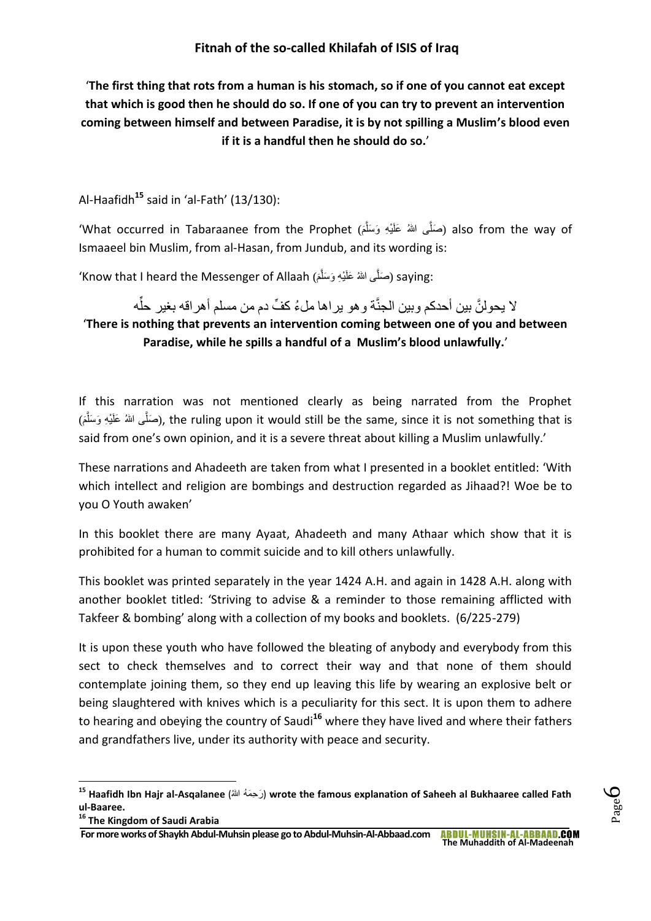'**The first thing that rots from a human is his stomach, so if one of you cannot eat except that which is good then he should do so. If one of you can try to prevent an intervention coming between himself and between Paradise, it is by not spilling a Muslim's blood even if it is a handful then he should do so.**'

Al-Haafidh**<sup>15</sup>** said in 'al-Fath' (13/130):

'What occurred in Tabaraanee from the Prophet (صَلَّى اللهُ عَلَيْهِ وَسَلَّمَ) also from the way of َّ Ismaaeel bin Muslim, from al-Hasan, from Jundub, and its wording is:

'Know that I heard the Messenger of Allaah (َ م َّى هللاُ َعلَ ْي ِه َو َسل :saying ) َصل َّ

لا يحولنَّ بين أحدكم وبين الجنَّة و هو يراها ملءُ كفٍّ دم من مسلم أهراقه بغير حلَّه '**There is nothing that prevents an intervention coming between one of you and between Paradise, while he spills a handful of a Muslim's blood unlawfully.**'

If this narration was not mentioned clearly as being narrated from the Prophet (صَلَّى اللهُ عَلَيْهِ وَسَلَّمَ), the ruling upon it would still be the same, since it is not something that is َّ said from one's own opinion, and it is a severe threat about killing a Muslim unlawfully.'

These narrations and Ahadeeth are taken from what I presented in a booklet entitled: 'With which intellect and religion are bombings and destruction regarded as Jihaad?! Woe be to you O Youth awaken'

In this booklet there are many Ayaat, Ahadeeth and many Athaar which show that it is prohibited for a human to commit suicide and to kill others unlawfully.

This booklet was printed separately in the year 1424 A.H. and again in 1428 A.H. along with another booklet titled: 'Striving to advise & a reminder to those remaining afflicted with Takfeer & bombing' along with a collection of my books and booklets. (6/225-279)

It is upon these youth who have followed the bleating of anybody and everybody from this sect to check themselves and to correct their way and that none of them should contemplate joining them, so they end up leaving this life by wearing an explosive belt or being slaughtered with knives which is a peculiarity for this sect. It is upon them to adhere to hearing and obeying the country of Saudi**<sup>16</sup>** where they have lived and where their fathers and grandfathers live, under its authority with peace and security.

Page  $\mathcal{C}$ 

1

<sup>&</sup>lt;sup>15</sup> Haafidh Ibn Hajr al-Asqalanee (كَحِمَهُ اللهُ) wrote the famous explanation of Saheeh al Bukhaaree called Fath **ul-Baaree.**

**<sup>16</sup> The Kingdom of Saudi Arabia**

**For more works of Shaykh Abdul-Muhsin please go to Abdul-Muhsin-Al-Abbaad.com ABDUL-MUHSIN-AL-ABBAAD.COM The Muhaddith of Al-Madeenah**